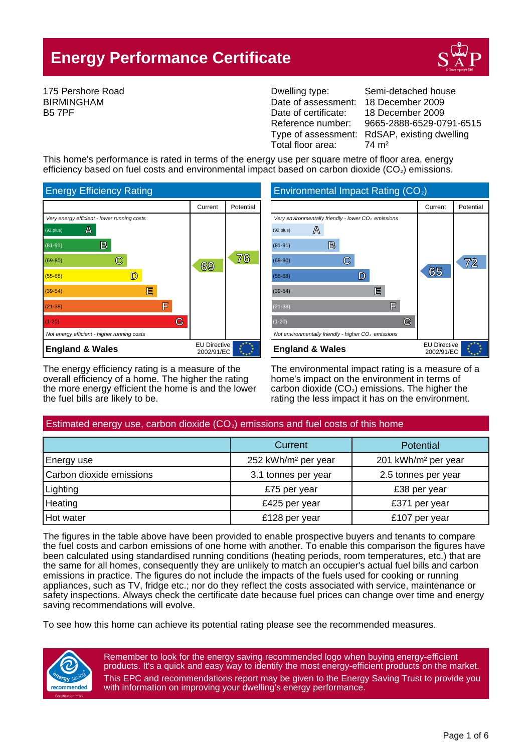# **Energy Performance Certificate**



175 Pershore Road BIRMINGHAM B5 7PF

Dwelling type: Date of assessment: 18 December 2009 Date of certificate: Reference number: Total floor area:

Type of assessment: RdSAP, existing dwelling Semi-detached house 18 December 2009 9665-2888-6529-0791-6515 74 m²

This home's performance is rated in terms of the energy use per square metre of floor area, energy efficiency based on fuel costs and environmental impact based on carbon dioxide  $(CO<sub>2</sub>)$  emissions.



The energy efficiency rating is a measure of the overall efficiency of a home. The higher the rating the more energy efficient the home is and the lower the fuel bills are likely to be.

Environmental Impact Rating (CO<sub>2</sub>)



The environmental impact rating is a measure of a home's impact on the environment in terms of carbon dioxide  $(CO<sub>2</sub>)$  emissions. The higher the rating the less impact it has on the environment.

# Estimated energy use, carbon dioxide  $(CO<sub>2</sub>)$  emissions and fuel costs of this home

|                          | Current                         | Potential                       |
|--------------------------|---------------------------------|---------------------------------|
| Energy use               | 252 kWh/m <sup>2</sup> per year | 201 kWh/m <sup>2</sup> per year |
| Carbon dioxide emissions | 3.1 tonnes per year             | 2.5 tonnes per year             |
| Lighting                 | £75 per year                    | £38 per year                    |
| Heating                  | £425 per year                   | £371 per year                   |
| Hot water                | £128 per year                   | £107 per year                   |

The figures in the table above have been provided to enable prospective buyers and tenants to compare the fuel costs and carbon emissions of one home with another. To enable this comparison the figures have been calculated using standardised running conditions (heating periods, room temperatures, etc.) that are the same for all homes, consequently they are unlikely to match an occupier's actual fuel bills and carbon emissions in practice. The figures do not include the impacts of the fuels used for cooking or running appliances, such as TV, fridge etc.; nor do they reflect the costs associated with service, maintenance or safety inspections. Always check the certificate date because fuel prices can change over time and energy saving recommendations will evolve.

To see how this home can achieve its potential rating please see the recommended measures.



Remember to look for the energy saving recommended logo when buying energy-efficient products. It's a quick and easy way to identify the most energy-efficient products on the market. This EPC and recommendations report may be given to the Energy Saving Trust to provide you with information on improving your dwelling's energy performance.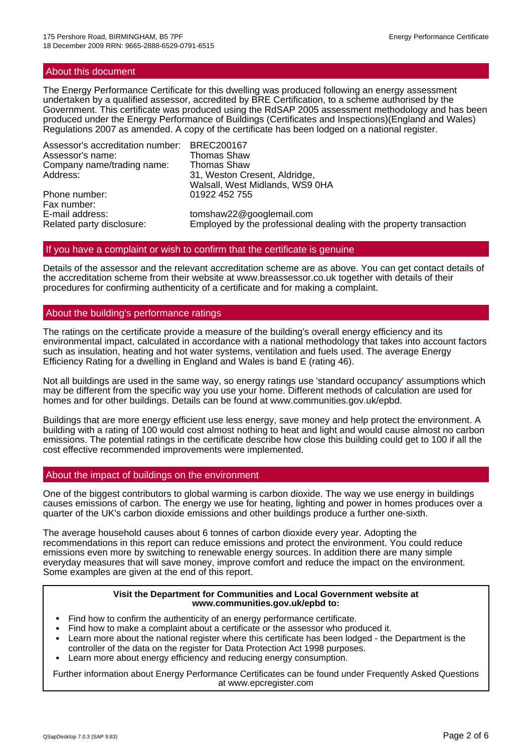# About this document

The Energy Performance Certificate for this dwelling was produced following an energy assessment undertaken by a qualified assessor, accredited by BRE Certification, to a scheme authorised by the Government. This certificate was produced using the RdSAP 2005 assessment methodology and has been produced under the Energy Performance of Buildings (Certificates and Inspections)(England and Wales) Regulations 2007 as amended. A copy of the certificate has been lodged on a national register.

| Assessor's accreditation number:<br>Assessor's name:<br>Company name/trading name:<br>Address: | BREC200167<br>Thomas Shaw<br>Thomas Shaw<br>31, Weston Cresent, Aldridge,<br>Walsall, West Midlands, WS9 0HA |
|------------------------------------------------------------------------------------------------|--------------------------------------------------------------------------------------------------------------|
| Phone number:<br>Fax number:                                                                   | 01922 452 755                                                                                                |
| E-mail address:<br>Related party disclosure:                                                   | tomshaw22@googlemail.com<br>Employed by the professional dealing with the property transaction               |

#### If you have a complaint or wish to confirm that the certificate is genuine

Details of the assessor and the relevant accreditation scheme are as above. You can get contact details of the accreditation scheme from their website at www.breassessor.co.uk together with details of their procedures for confirming authenticity of a certificate and for making a complaint.

## About the building's performance ratings

The ratings on the certificate provide a measure of the building's overall energy efficiency and its environmental impact, calculated in accordance with a national methodology that takes into account factors such as insulation, heating and hot water systems, ventilation and fuels used. The average Energy Efficiency Rating for a dwelling in England and Wales is band E (rating 46).

Not all buildings are used in the same way, so energy ratings use 'standard occupancy' assumptions which may be different from the specific way you use your home. Different methods of calculation are used for homes and for other buildings. Details can be found at www.communities.gov.uk/epbd.

Buildings that are more energy efficient use less energy, save money and help protect the environment. A building with a rating of 100 would cost almost nothing to heat and light and would cause almost no carbon emissions. The potential ratings in the certificate describe how close this building could get to 100 if all the cost effective recommended improvements were implemented.

# About the impact of buildings on the environment

One of the biggest contributors to global warming is carbon dioxide. The way we use energy in buildings causes emissions of carbon. The energy we use for heating, lighting and power in homes produces over a quarter of the UK's carbon dioxide emissions and other buildings produce a further one-sixth.

The average household causes about 6 tonnes of carbon dioxide every year. Adopting the recommendations in this report can reduce emissions and protect the environment. You could reduce emissions even more by switching to renewable energy sources. In addition there are many simple everyday measures that will save money, improve comfort and reduce the impact on the environment. Some examples are given at the end of this report.

#### **Visit the Department for Communities and Local Government website at www.communities.gov.uk/epbd to:**

- Find how to confirm the authenticity of an energy performance certificate.
- Find how to make a complaint about a certificate or the assessor who produced it.
- Learn more about the national register where this certificate has been lodged the Department is the controller of the data on the register for Data Protection Act 1998 purposes.
- Learn more about energy efficiency and reducing energy consumption.

Further information about Energy Performance Certificates can be found under Frequently Asked Questions at www.epcregister.com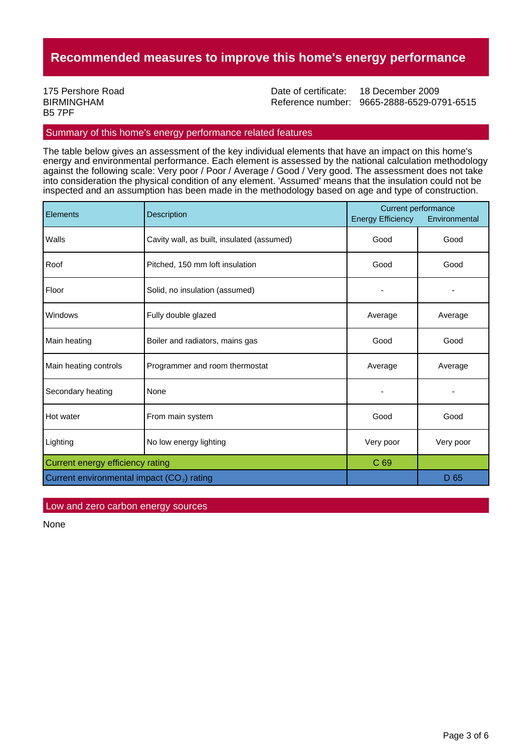# **Recommended measures to improve this home's energy performance**

175 Pershore Road BIRMINGHAM B5 7PF

Date of certificate:

Reference number: 9665-2888-6529-0791-6515 18 December 2009

## Summary of this home's energy performance related features

The table below gives an assessment of the key individual elements that have an impact on this home's energy and environmental performance. Each element is assessed by the national calculation methodology against the following scale: Very poor / Poor / Average / Good / Very good. The assessment does not take into consideration the physical condition of any element. 'Assumed' means that the insulation could not be inspected and an assumption has been made in the methodology based on age and type of construction.

| Elements<br>Description                                |                                            | <b>Current performance</b><br><b>Energy Efficiency</b><br>Environmental |                 |
|--------------------------------------------------------|--------------------------------------------|-------------------------------------------------------------------------|-----------------|
| Walls                                                  | Cavity wall, as built, insulated (assumed) | Good                                                                    | Good            |
| Roof                                                   | Pitched, 150 mm loft insulation            | Good                                                                    | Good            |
| Floor                                                  | Solid, no insulation (assumed)             |                                                                         |                 |
| Windows                                                | Fully double glazed                        | Average                                                                 | Average         |
| Main heating                                           | Boiler and radiators, mains gas            | Good                                                                    | Good            |
| Main heating controls                                  | Programmer and room thermostat             | Average                                                                 | Average         |
| Secondary heating                                      | None                                       |                                                                         |                 |
| Hot water                                              | From main system                           | Good                                                                    | Good            |
| Lighting                                               | No low energy lighting                     | Very poor                                                               | Very poor       |
| Current energy efficiency rating                       |                                            | C 69                                                                    |                 |
| Current environmental impact (CO <sub>2</sub> ) rating |                                            |                                                                         | D <sub>65</sub> |

# Low and zero carbon energy sources

None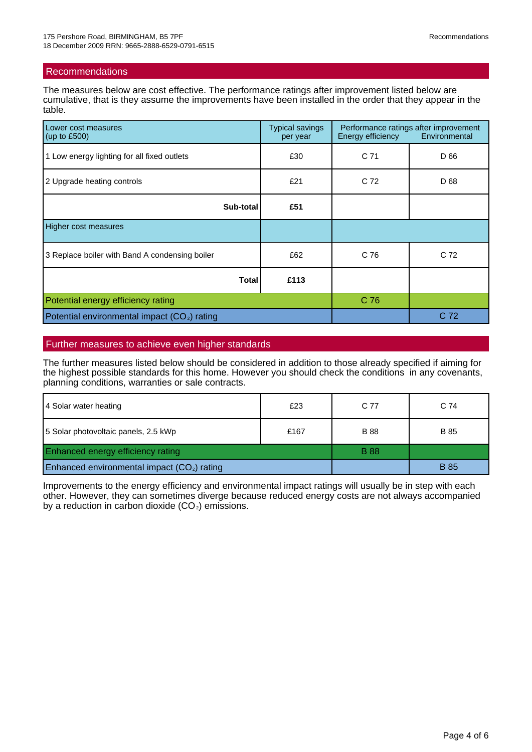# **Recommendations**

The measures below are cost effective. The performance ratings after improvement listed below are cumulative, that is they assume the improvements have been installed in the order that they appear in the table.

| Lower cost measures<br>(up to $£500$ )                   | <b>Typical savings</b><br>per year | Energy efficiency | Performance ratings after improvement<br>Environmental |
|----------------------------------------------------------|------------------------------------|-------------------|--------------------------------------------------------|
| 1 Low energy lighting for all fixed outlets              | £30                                | C <sub>71</sub>   | D 66                                                   |
| 2 Upgrade heating controls                               | £21                                | C 72              | D 68                                                   |
| Sub-total                                                | £51                                |                   |                                                        |
| Higher cost measures                                     |                                    |                   |                                                        |
| 3 Replace boiler with Band A condensing boiler           | £62                                | C 76              | C 72                                                   |
| <b>Total</b>                                             | £113                               |                   |                                                        |
| Potential energy efficiency rating                       |                                    | C <sub>76</sub>   |                                                        |
| Potential environmental impact (CO <sub>2</sub> ) rating |                                    |                   | C 72                                                   |

# Further measures to achieve even higher standards

The further measures listed below should be considered in addition to those already specified if aiming for the highest possible standards for this home. However you should check the conditions in any covenants, planning conditions, warranties or sale contracts.

| 14 Solar water heating                                  | £23  | C 77        | C 74        |
|---------------------------------------------------------|------|-------------|-------------|
| 5 Solar photovoltaic panels, 2.5 kWp                    | £167 | <b>B</b> 88 | <b>B</b> 85 |
| <b>Enhanced energy efficiency rating</b>                |      | <b>B</b> 88 |             |
| Enhanced environmental impact (CO <sub>2</sub> ) rating |      |             | <b>B</b> 85 |

Improvements to the energy efficiency and environmental impact ratings will usually be in step with each other. However, they can sometimes diverge because reduced energy costs are not always accompanied by a reduction in carbon dioxide  $(CO<sub>2</sub>)$  emissions.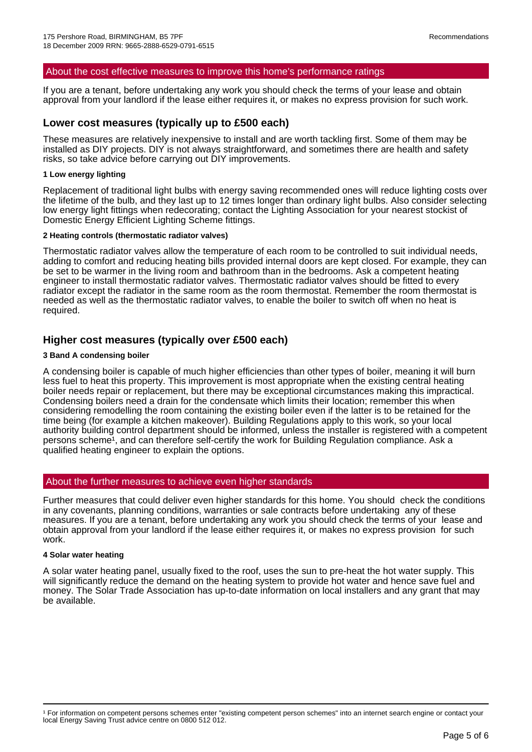# About the cost effective measures to improve this home's performance ratings

If you are a tenant, before undertaking any work you should check the terms of your lease and obtain approval from your landlord if the lease either requires it, or makes no express provision for such work.

# **Lower cost measures (typically up to £500 each)**

These measures are relatively inexpensive to install and are worth tackling first. Some of them may be installed as DIY projects. DIY is not always straightforward, and sometimes there are health and safety risks, so take advice before carrying out DIY improvements.

#### **1 Low energy lighting**

Replacement of traditional light bulbs with energy saving recommended ones will reduce lighting costs over the lifetime of the bulb, and they last up to 12 times longer than ordinary light bulbs. Also consider selecting low energy light fittings when redecorating; contact the Lighting Association for your nearest stockist of Domestic Energy Efficient Lighting Scheme fittings.

#### **2 Heating controls (thermostatic radiator valves)**

Thermostatic radiator valves allow the temperature of each room to be controlled to suit individual needs, adding to comfort and reducing heating bills provided internal doors are kept closed. For example, they can be set to be warmer in the living room and bathroom than in the bedrooms. Ask a competent heating engineer to install thermostatic radiator valves. Thermostatic radiator valves should be fitted to every radiator except the radiator in the same room as the room thermostat. Remember the room thermostat is needed as well as the thermostatic radiator valves, to enable the boiler to switch off when no heat is required.

# **Higher cost measures (typically over £500 each)**

#### **3 Band A condensing boiler**

A condensing boiler is capable of much higher efficiencies than other types of boiler, meaning it will burn less fuel to heat this property. This improvement is most appropriate when the existing central heating boiler needs repair or replacement, but there may be exceptional circumstances making this impractical. Condensing boilers need a drain for the condensate which limits their location; remember this when considering remodelling the room containing the existing boiler even if the latter is to be retained for the time being (for example a kitchen makeover). Building Regulations apply to this work, so your local authority building control department should be informed, unless the installer is registered with a competent persons scheme<sup>1</sup>, and can therefore self-certify the work for Building Regulation compliance. Ask a qualified heating engineer to explain the options.

# About the further measures to achieve even higher standards

Further measures that could deliver even higher standards for this home. You should check the conditions in any covenants, planning conditions, warranties or sale contracts before undertaking any of these measures. If you are a tenant, before undertaking any work you should check the terms of your lease and obtain approval from your landlord if the lease either requires it, or makes no express provision for such work.

#### **4 Solar water heating**

A solar water heating panel, usually fixed to the roof, uses the sun to pre-heat the hot water supply. This will significantly reduce the demand on the heating system to provide hot water and hence save fuel and money. The Solar Trade Association has up-to-date information on local installers and any grant that may be available.

<sup>1</sup> For information on competent persons schemes enter "existing competent person schemes" into an internet search engine or contact your local Energy Saving Trust advice centre on 0800 512 012.